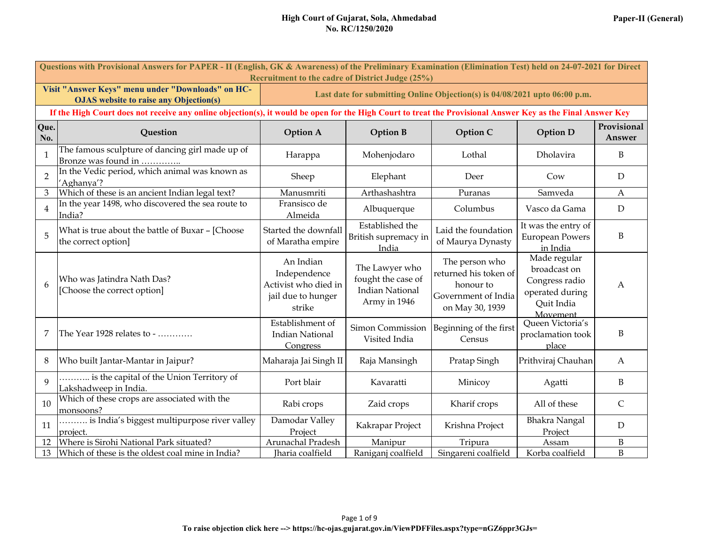|  | Paper-II (General) |
|--|--------------------|
|--|--------------------|

|                | Questions with Provisional Answers for PAPER - II (English, GK & Awareness) of the Preliminary Examination (Elimination Test) held on 24-07-2021 for Direct<br>Recruitment to the cadre of District Judge (25%) |                                                                                   |                                                                                |                                                                                                |                                                                                             |                       |
|----------------|-----------------------------------------------------------------------------------------------------------------------------------------------------------------------------------------------------------------|-----------------------------------------------------------------------------------|--------------------------------------------------------------------------------|------------------------------------------------------------------------------------------------|---------------------------------------------------------------------------------------------|-----------------------|
|                | Visit "Answer Keys" menu under "Downloads" on HC-<br><b>OJAS</b> website to raise any Objection(s)                                                                                                              |                                                                                   | Last date for submitting Online Objection(s) is 04/08/2021 upto 06:00 p.m.     |                                                                                                |                                                                                             |                       |
|                | If the High Court does not receive any online objection(s), it would be open for the High Court to treat the Provisional Answer Key as the Final Answer Key                                                     |                                                                                   |                                                                                |                                                                                                |                                                                                             |                       |
| Que.<br>No.    | Question                                                                                                                                                                                                        | <b>Option A</b>                                                                   | <b>Option B</b>                                                                | Option C                                                                                       | <b>Option D</b>                                                                             | Provisional<br>Answer |
| $\mathbf{1}$   | The famous sculpture of dancing girl made up of<br>Bronze was found in                                                                                                                                          | Harappa                                                                           | Mohenjodaro                                                                    | Lothal                                                                                         | Dholavira                                                                                   | B                     |
| $\overline{2}$ | In the Vedic period, which animal was known as<br>'Aghanya'?                                                                                                                                                    | Sheep                                                                             | Elephant                                                                       | Deer                                                                                           | Cow                                                                                         | D                     |
| 3              | Which of these is an ancient Indian legal text?                                                                                                                                                                 | Manusmriti                                                                        | Arthashashtra                                                                  | Puranas                                                                                        | Samveda                                                                                     | A                     |
| $\overline{4}$ | In the year 1498, who discovered the sea route to<br>India?                                                                                                                                                     | Fransisco de<br>Almeida                                                           | Albuquerque                                                                    | Columbus                                                                                       | Vasco da Gama                                                                               | ${\rm D}$             |
| 5              | What is true about the battle of Buxar - [Choose<br>the correct option]                                                                                                                                         | Started the downfall<br>of Maratha empire                                         | Established the<br>British supremacy in<br>India                               | Laid the foundation<br>of Maurya Dynasty                                                       | It was the entry of<br><b>European Powers</b><br>in India                                   | B                     |
| 6              | Who was Jatindra Nath Das?<br>[Choose the correct option]                                                                                                                                                       | An Indian<br>Independence<br>Activist who died in<br>jail due to hunger<br>strike | The Lawyer who<br>fought the case of<br><b>Indian National</b><br>Army in 1946 | The person who<br>returned his token of<br>honour to<br>Government of India<br>on May 30, 1939 | Made regular<br>broadcast on<br>Congress radio<br>operated during<br>Quit India<br>Movement | A                     |
| 7              | The Year 1928 relates to -                                                                                                                                                                                      | Establishment of<br><b>Indian National</b><br>Congress                            | Simon Commission<br>Visited India                                              | Beginning of the first<br>Census                                                               | Queen Victoria's<br>proclamation took<br>place                                              | B                     |
| 8              | Who built Jantar-Mantar in Jaipur?                                                                                                                                                                              | Maharaja Jai Singh II                                                             | Raja Mansingh                                                                  | Pratap Singh                                                                                   | Prithviraj Chauhan                                                                          | A                     |
| $\mathbf Q$    | is the capital of the Union Territory of<br>Lakshadweep in India.                                                                                                                                               | Port blair                                                                        | Kavaratti                                                                      | Minicoy                                                                                        | Agatti                                                                                      | B                     |
| 10             | Which of these crops are associated with the<br>monsoons?                                                                                                                                                       | Rabi crops                                                                        | Zaid crops                                                                     | Kharif crops                                                                                   | All of these                                                                                | $\mathsf{C}$          |
| 11             | is India's biggest multipurpose river valley<br>project.                                                                                                                                                        | Damodar Valley<br>Project                                                         | Kakrapar Project                                                               | Krishna Project                                                                                | <b>Bhakra Nangal</b><br>Project                                                             | D                     |
| 12             | Where is Sirohi National Park situated?                                                                                                                                                                         | Arunachal Pradesh                                                                 | Manipur                                                                        | Tripura                                                                                        | Assam                                                                                       | $\, {\bf B}$          |
| 13             | Which of these is the oldest coal mine in India?                                                                                                                                                                | Jharia coalfield                                                                  | Raniganj coalfield                                                             | Singareni coalfield                                                                            | Korba coalfield                                                                             | B                     |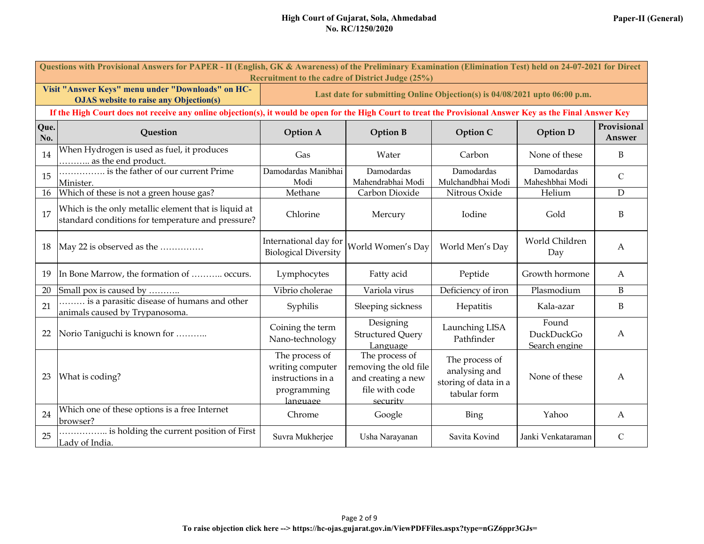|  | Paper-II (General) |
|--|--------------------|
|--|--------------------|

|             | Questions with Provisional Answers for PAPER - II (English, GK & Awareness) of the Preliminary Examination (Elimination Test) held on 24-07-2021 for Direct |                                                                                    |                                                                                             |                                                                         |                                      |                       |  |
|-------------|-------------------------------------------------------------------------------------------------------------------------------------------------------------|------------------------------------------------------------------------------------|---------------------------------------------------------------------------------------------|-------------------------------------------------------------------------|--------------------------------------|-----------------------|--|
|             | Recruitment to the cadre of District Judge (25%)<br>Visit "Answer Keys" menu under "Downloads" on HC-                                                       |                                                                                    |                                                                                             |                                                                         |                                      |                       |  |
|             | <b>OJAS</b> website to raise any Objection(s)                                                                                                               |                                                                                    | Last date for submitting Online Objection(s) is 04/08/2021 upto 06:00 p.m.                  |                                                                         |                                      |                       |  |
|             | If the High Court does not receive any online objection(s), it would be open for the High Court to treat the Provisional Answer Key as the Final Answer Key |                                                                                    |                                                                                             |                                                                         |                                      |                       |  |
| Que.<br>No. | Question                                                                                                                                                    | <b>Option A</b>                                                                    | <b>Option B</b>                                                                             | Option C                                                                | <b>Option D</b>                      | Provisional<br>Answer |  |
| 14          | When Hydrogen is used as fuel, it produces<br>as the end product.                                                                                           | Gas                                                                                | Water                                                                                       | Carbon                                                                  | None of these                        | B                     |  |
| 15          | is the father of our current Prime<br>Minister.                                                                                                             | Damodardas Manibhai<br>Modi                                                        | Damodardas<br>Mahendrabhai Modi                                                             | Damodardas<br>Mulchandbhai Modi                                         | Damodardas<br>Maheshbhai Modi        | $\mathbf C$           |  |
| 16          | Which of these is not a green house gas?                                                                                                                    | Methane                                                                            | Carbon Dioxide                                                                              | Nitrous Oxide                                                           | Helium                               | D                     |  |
| 17          | Which is the only metallic element that is liquid at<br>standard conditions for temperature and pressure?                                                   | Chlorine                                                                           | Mercury                                                                                     | Iodine                                                                  | Gold                                 | B                     |  |
| 18          | May 22 is observed as the                                                                                                                                   | International day for<br><b>Biological Diversity</b>                               | World Women's Day                                                                           | World Men's Day                                                         | World Children<br>Day                | $\boldsymbol{A}$      |  |
| 19          | In Bone Marrow, the formation of  occurs.                                                                                                                   | Lymphocytes                                                                        | Fatty acid                                                                                  | Peptide                                                                 | Growth hormone                       | A                     |  |
| 20          | Small pox is caused by                                                                                                                                      | Vibrio cholerae                                                                    | Variola virus                                                                               | Deficiency of iron                                                      | Plasmodium                           | $\, {\bf B}$          |  |
| 21          | is a parasitic disease of humans and other<br>animals caused by Trypanosoma.                                                                                | Syphilis                                                                           | Sleeping sickness                                                                           | Hepatitis                                                               | Kala-azar                            | B                     |  |
| 22          | Norio Taniguchi is known for                                                                                                                                | Coining the term<br>Nano-technology                                                | Designing<br><b>Structured Query</b><br>Language                                            | Launching LISA<br>Pathfinder                                            | Found<br>DuckDuckGo<br>Search engine | А                     |  |
| 23          | What is coding?                                                                                                                                             | The process of<br>writing computer<br>instructions in a<br>programming<br>language | The process of<br>removing the old file<br>and creating a new<br>file with code<br>security | The process of<br>analysing and<br>storing of data in a<br>tabular form | None of these                        | A                     |  |
| 24          | Which one of these options is a free Internet<br>browser?                                                                                                   | Chrome                                                                             | Google                                                                                      | Bing                                                                    | Yahoo                                | $\boldsymbol{A}$      |  |
| 25          | is holding the current position of First<br>Lady of India.                                                                                                  | Suvra Mukherjee                                                                    | Usha Narayanan                                                                              | Savita Kovind                                                           | Janki Venkataraman                   | $\mathcal{C}$         |  |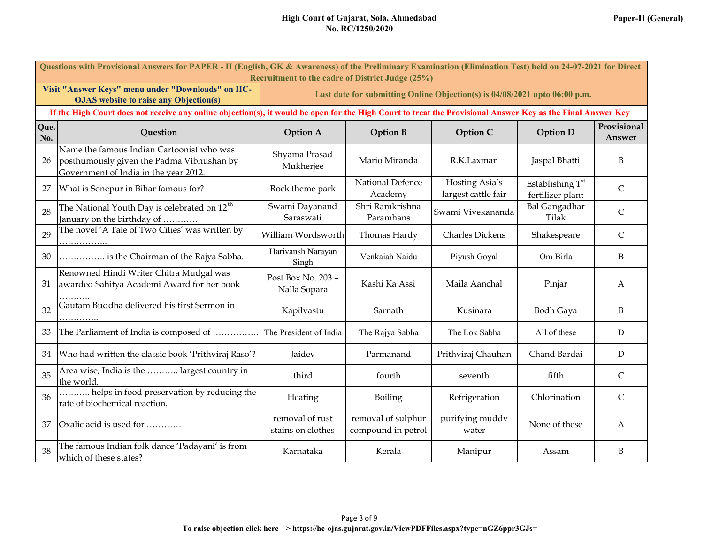|  | Paper-II (General) |
|--|--------------------|
|--|--------------------|

|             | Questions with Provisional Answers for PAPER - II (English, GK & Awareness) of the Preliminary Examination (Elimination Test) held on 24-07-2021 for Direct<br>Recruitment to the cadre of District Judge (25%) |                                      |                                          |                                                                            |                                        |                       |  |
|-------------|-----------------------------------------------------------------------------------------------------------------------------------------------------------------------------------------------------------------|--------------------------------------|------------------------------------------|----------------------------------------------------------------------------|----------------------------------------|-----------------------|--|
|             | Visit "Answer Keys" menu under "Downloads" on HC-<br><b>OJAS</b> website to raise any Objection(s)                                                                                                              |                                      |                                          | Last date for submitting Online Objection(s) is 04/08/2021 upto 06:00 p.m. |                                        |                       |  |
|             | If the High Court does not receive any online objection(s), it would be open for the High Court to treat the Provisional Answer Key as the Final Answer Key                                                     |                                      |                                          |                                                                            |                                        |                       |  |
| Que.<br>No. | Question                                                                                                                                                                                                        | <b>Option A</b>                      | <b>Option B</b>                          | Option C                                                                   | <b>Option D</b>                        | Provisional<br>Answer |  |
| 26          | Name the famous Indian Cartoonist who was<br>posthumously given the Padma Vibhushan by<br>Government of India in the year 2012.                                                                                 | Shyama Prasad<br>Mukherjee           | Mario Miranda                            | R.K.Laxman                                                                 | Jaspal Bhatti                          | B                     |  |
| 27          | What is Sonepur in Bihar famous for?                                                                                                                                                                            | Rock theme park                      | National Defence<br>Academy              | Hosting Asia's<br>largest cattle fair                                      | Establishing $1st$<br>fertilizer plant | $\mathsf{C}$          |  |
| 28          | The National Youth Day is celebrated on 12 <sup>th</sup><br>January on the birthday of                                                                                                                          | Swami Dayanand<br>Saraswati          | Shri Ramkrishna<br>Paramhans             | Swami Vivekananda                                                          | <b>Bal Gangadhar</b><br>Tilak          | $\mathsf{C}$          |  |
| 29          | The novel 'A Tale of Two Cities' was written by                                                                                                                                                                 | William Wordsworth                   | Thomas Hardy                             | <b>Charles Dickens</b>                                                     | Shakespeare                            | $\mathsf{C}$          |  |
| 30          | is the Chairman of the Rajya Sabha.                                                                                                                                                                             | Harivansh Narayan<br>Singh           | Venkaiah Naidu                           | Piyush Goyal                                                               | Om Birla                               | B                     |  |
| 31          | Renowned Hindi Writer Chitra Mudgal was<br>awarded Sahitya Academi Award for her book                                                                                                                           | Post Box No. 203 -<br>Nalla Sopara   | Kashi Ka Assi                            | Maila Aanchal                                                              | Pinjar                                 | A                     |  |
| 32          | Gautam Buddha delivered his first Sermon in                                                                                                                                                                     | Kapilvastu                           | Sarnath                                  | Kusinara                                                                   | <b>Bodh Gaya</b>                       | B                     |  |
| 33          | The Parliament of India is composed of                                                                                                                                                                          | The President of India               | The Rajya Sabha                          | The Lok Sabha                                                              | All of these                           | $\mathbf D$           |  |
| 34          | Who had written the classic book 'Prithviraj Raso'?                                                                                                                                                             | Jaidev                               | Parmanand                                | Prithviraj Chauhan                                                         | Chand Bardai                           | D                     |  |
| 35          | Area wise, India is the  largest country in<br>the world.                                                                                                                                                       | third                                | fourth                                   | seventh                                                                    | fifth                                  | $\mathsf{C}$          |  |
| 36          | helps in food preservation by reducing the<br>rate of biochemical reaction.                                                                                                                                     | Heating                              | Boiling                                  | Refrigeration                                                              | Chlorination                           | $\mathsf{C}$          |  |
| 37          | Oxalic acid is used for                                                                                                                                                                                         | removal of rust<br>stains on clothes | removal of sulphur<br>compound in petrol | purifying muddy<br>water                                                   | None of these                          | A                     |  |
| 38          | The famous Indian folk dance 'Padayani' is from<br>which of these states?                                                                                                                                       | Karnataka                            | Kerala                                   | Manipur                                                                    | Assam                                  | B                     |  |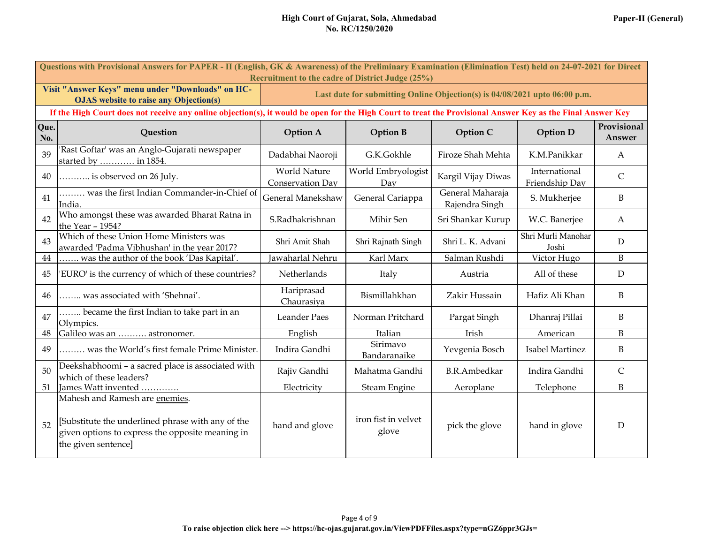|  | Paper-II (General) |
|--|--------------------|
|--|--------------------|

|             | Questions with Provisional Answers for PAPER - II (English, GK & Awareness) of the Preliminary Examination (Elimination Test) held on 24-07-2021 for Direct<br>Recruitment to the cadre of District Judge (25%) |                                         |                                                                            |                                    |                                 |                       |
|-------------|-----------------------------------------------------------------------------------------------------------------------------------------------------------------------------------------------------------------|-----------------------------------------|----------------------------------------------------------------------------|------------------------------------|---------------------------------|-----------------------|
|             | Visit "Answer Keys" menu under "Downloads" on HC-<br><b>OJAS</b> website to raise any Objection(s)                                                                                                              |                                         | Last date for submitting Online Objection(s) is 04/08/2021 upto 06:00 p.m. |                                    |                                 |                       |
|             | If the High Court does not receive any online objection(s), it would be open for the High Court to treat the Provisional Answer Key as the Final Answer Key                                                     |                                         |                                                                            |                                    |                                 |                       |
| Que.<br>No. | Question                                                                                                                                                                                                        | <b>Option A</b>                         | <b>Option B</b>                                                            | Option C                           | <b>Option D</b>                 | Provisional<br>Answer |
| 39          | Rast Goftar' was an Anglo-Gujarati newspaper<br>started by  in 1854.                                                                                                                                            | Dadabhai Naoroji                        | G.K.Gokhle                                                                 | Firoze Shah Mehta                  | K.M.Panikkar                    | A                     |
| 40          | is observed on 26 July.                                                                                                                                                                                         | <b>World Nature</b><br>Conservation Day | World Embryologist<br>Day                                                  | Kargil Vijay Diwas                 | International<br>Friendship Day | $\mathsf{C}$          |
| 41          | was the first Indian Commander-in-Chief of<br>India.                                                                                                                                                            | General Manekshaw                       | General Cariappa                                                           | General Maharaja<br>Rajendra Singh | S. Mukherjee                    | $\mathbf B$           |
| 42          | Who amongst these was awarded Bharat Ratna in<br>the Year - 1954?                                                                                                                                               | S.Radhakrishnan                         | Mihir Sen                                                                  | Sri Shankar Kurup                  | W.C. Banerjee                   | A                     |
| 43          | Which of these Union Home Ministers was<br>awarded 'Padma Vibhushan' in the year 2017?                                                                                                                          | Shri Amit Shah                          | Shri Rajnath Singh                                                         | Shri L. K. Advani                  | Shri Murli Manohar<br>Joshi     | D                     |
| $44\,$      | was the author of the book 'Das Kapital'.                                                                                                                                                                       | Jawaharlal Nehru                        | Karl Marx                                                                  | Salman Rushdi                      | Victor Hugo                     | $\, {\bf B}$          |
| 45          | 'EURO' is the currency of which of these countries?                                                                                                                                                             | Netherlands                             | Italy                                                                      | Austria                            | All of these                    | ${\mathcal{D}}$       |
| 46          | was associated with 'Shehnai'.                                                                                                                                                                                  | Hariprasad<br>Chaurasiya                | Bismillahkhan                                                              | Zakir Hussain                      | Hafiz Ali Khan                  | B                     |
| 47          | became the first Indian to take part in an<br>Olympics.                                                                                                                                                         | <b>Leander Paes</b>                     | Norman Pritchard                                                           | Pargat Singh                       | Dhanraj Pillai                  | B                     |
| $\rm 48$    | Galileo was an  astronomer.                                                                                                                                                                                     | English                                 | Italian                                                                    | Irish                              | American                        | B                     |
| 49          | was the World's first female Prime Minister.                                                                                                                                                                    | Indira Gandhi                           | Sirimavo<br>Bandaranaike                                                   | Yevgenia Bosch                     | Isabel Martinez                 | B                     |
| 50          | Deekshabhoomi - a sacred place is associated with<br>which of these leaders?                                                                                                                                    | Rajiv Gandhi                            | Mahatma Gandhi                                                             | <b>B.R.Ambedkar</b>                | Indira Gandhi                   | $\mathsf{C}$          |
| 51          | James Watt invented                                                                                                                                                                                             | Electricity                             | Steam Engine                                                               | Aeroplane                          | Telephone                       | B                     |
| 52          | Mahesh and Ramesh are enemies.<br>[Substitute the underlined phrase with any of the<br>given options to express the opposite meaning in<br>the given sentence]                                                  | hand and glove                          | iron fist in velvet<br>glove                                               | pick the glove                     | hand in glove                   | $\mathbf D$           |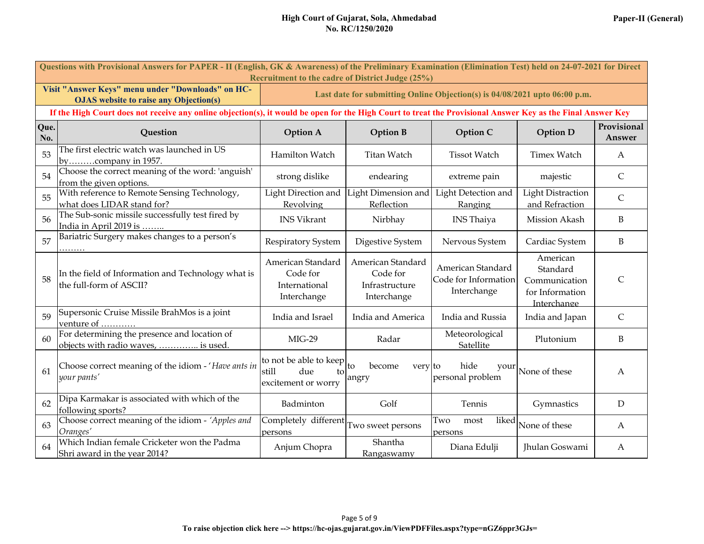|  | Paper-II (General) |
|--|--------------------|
|--|--------------------|

|             | Questions with Provisional Answers for PAPER - II (English, GK & Awareness) of the Preliminary Examination (Elimination Test) held on 24-07-2021 for Direct<br>Recruitment to the cadre of District Judge (25%) |                                                                     |                                                                |                                                                            |                                                                         |                       |
|-------------|-----------------------------------------------------------------------------------------------------------------------------------------------------------------------------------------------------------------|---------------------------------------------------------------------|----------------------------------------------------------------|----------------------------------------------------------------------------|-------------------------------------------------------------------------|-----------------------|
|             | Visit "Answer Keys" menu under "Downloads" on HC-<br><b>OJAS</b> website to raise any Objection(s)                                                                                                              |                                                                     |                                                                | Last date for submitting Online Objection(s) is 04/08/2021 upto 06:00 p.m. |                                                                         |                       |
|             | If the High Court does not receive any online objection(s), it would be open for the High Court to treat the Provisional Answer Key as the Final Answer Key                                                     |                                                                     |                                                                |                                                                            |                                                                         |                       |
| Que.<br>No. | Question                                                                                                                                                                                                        | <b>Option A</b>                                                     | <b>Option B</b>                                                | Option C                                                                   | <b>Option D</b>                                                         | Provisional<br>Answer |
| 53          | The first electric watch was launched in US<br>bycompany in 1957.                                                                                                                                               | Hamilton Watch                                                      | <b>Titan Watch</b>                                             | <b>Tissot Watch</b>                                                        | <b>Timex Watch</b>                                                      | A                     |
| 54          | Choose the correct meaning of the word: 'anguish'<br>from the given options.                                                                                                                                    | strong dislike                                                      | endearing                                                      | extreme pain                                                               | majestic                                                                | $\mathsf{C}$          |
| 55          | With reference to Remote Sensing Technology,<br>what does LIDAR stand for?                                                                                                                                      | Light Direction and<br>Revolving                                    | Light Dimension and<br>Reflection                              | Light Detection and<br>Ranging                                             | <b>Light Distraction</b><br>and Refraction                              | $\mathsf{C}$          |
| 56          | The Sub-sonic missile successfully test fired by<br>India in April 2019 is                                                                                                                                      | <b>INS Vikrant</b>                                                  | Nirbhay                                                        | <b>INS</b> Thaiya                                                          | Mission Akash                                                           | B                     |
| 57          | Bariatric Surgery makes changes to a person's                                                                                                                                                                   | <b>Respiratory System</b>                                           | Digestive System                                               | Nervous System                                                             | Cardiac System                                                          | B                     |
| 58          | In the field of Information and Technology what is<br>the full-form of ASCII?                                                                                                                                   | American Standard<br>Code for<br>International<br>Interchange       | American Standard<br>Code for<br>Infrastructure<br>Interchange | American Standard<br>Code for Information<br>Interchange                   | American<br>Standard<br>Communication<br>for Information<br>Interchange | $\mathsf{C}$          |
| 59          | Supersonic Cruise Missile BrahMos is a joint<br>venture of                                                                                                                                                      | India and Israel                                                    | India and America                                              | India and Russia                                                           | India and Japan                                                         | $\mathsf{C}$          |
| 60          | For determining the presence and location of<br>objects with radio waves,  is used.                                                                                                                             | $MIG-29$                                                            | Radar                                                          | Meteorological<br>Satellite                                                | Plutonium                                                               | B                     |
| 61          | Choose correct meaning of the idiom - 'Have ants in<br>your pants'                                                                                                                                              | to not be able to keep<br>still<br>due<br>to<br>excitement or worry | become<br>to<br>very to<br>angry                               | hide<br>your<br>personal problem                                           | None of these                                                           | А                     |
| 62          | Dipa Karmakar is associated with which of the<br>following sports?                                                                                                                                              | Badminton                                                           | Golf                                                           | Tennis                                                                     | Gymnastics                                                              | D                     |
| 63          | Choose correct meaning of the idiom - 'Apples and<br>Oranges'                                                                                                                                                   | Completely different<br>persons                                     | Two sweet persons                                              | liked<br>Two<br>most<br>persons                                            | None of these                                                           | A                     |
| 64          | Which Indian female Cricketer won the Padma<br>Shri award in the year 2014?                                                                                                                                     | Anjum Chopra                                                        | Shantha<br>Rangaswamy                                          | Diana Edulji                                                               | <b>Ihulan Goswami</b>                                                   | A                     |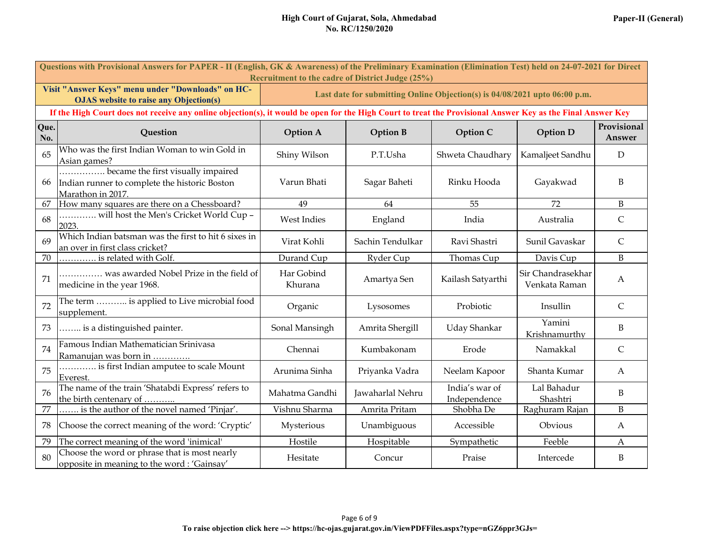|             | Questions with Provisional Answers for PAPER - II (English, GK & Awareness) of the Preliminary Examination (Elimination Test) held on 24-07-2021 for Direct<br><b>Recruitment to the cadre of District Judge (25%)</b> |                                                                                            |                                                                            |                                |                                    |                  |  |
|-------------|------------------------------------------------------------------------------------------------------------------------------------------------------------------------------------------------------------------------|--------------------------------------------------------------------------------------------|----------------------------------------------------------------------------|--------------------------------|------------------------------------|------------------|--|
|             | Visit "Answer Keys" menu under "Downloads" on HC-<br><b>OJAS</b> website to raise any Objection(s)                                                                                                                     |                                                                                            | Last date for submitting Online Objection(s) is 04/08/2021 upto 06:00 p.m. |                                |                                    |                  |  |
|             | If the High Court does not receive any online objection(s), it would be open for the High Court to treat the Provisional Answer Key as the Final Answer Key                                                            |                                                                                            |                                                                            |                                |                                    |                  |  |
| Que.<br>No. | <b>Question</b>                                                                                                                                                                                                        | Provisional<br><b>Option B</b><br><b>Option D</b><br><b>Option A</b><br>Option C<br>Answer |                                                                            |                                |                                    |                  |  |
| 65          | Who was the first Indian Woman to win Gold in<br>Asian games?                                                                                                                                                          | Shiny Wilson                                                                               | P.T.Usha                                                                   | Shweta Chaudhary               | Kamaljeet Sandhu                   | D                |  |
| 66          | became the first visually impaired<br>Indian runner to complete the historic Boston<br>Marathon in 2017.                                                                                                               | Varun Bhati                                                                                | Sagar Baheti                                                               | Rinku Hooda                    | Gayakwad                           | B                |  |
| 67          | How many squares are there on a Chessboard?                                                                                                                                                                            | 49                                                                                         | 64                                                                         | 55                             | 72                                 | $\mathbf B$      |  |
| 68          | will host the Men's Cricket World Cup -<br>2023.                                                                                                                                                                       | West Indies                                                                                | England                                                                    | India                          | Australia                          | $\mathsf{C}$     |  |
| 69          | Which Indian batsman was the first to hit 6 sixes in<br>an over in first class cricket?                                                                                                                                | Virat Kohli                                                                                | Sachin Tendulkar                                                           | Ravi Shastri                   | Sunil Gavaskar                     | $\mathsf C$      |  |
| 70          | is related with Golf.                                                                                                                                                                                                  | Durand Cup                                                                                 | Ryder Cup                                                                  | Thomas Cup                     | Davis Cup                          | B                |  |
| 71          | was awarded Nobel Prize in the field of<br>medicine in the year 1968.                                                                                                                                                  | Har Gobind<br>Khurana                                                                      | Amartya Sen                                                                | Kailash Satyarthi              | Sir Chandrasekhar<br>Venkata Raman | $\boldsymbol{A}$ |  |
| 72          | The term  is applied to Live microbial food<br>supplement.                                                                                                                                                             | Organic                                                                                    | Lysosomes                                                                  | Probiotic                      | Insullin                           | $\mathsf{C}$     |  |
| 73          | is a distinguished painter.                                                                                                                                                                                            | Sonal Mansingh                                                                             | Amrita Shergill                                                            | <b>Uday Shankar</b>            | Yamini<br>Krishnamurthy            | $\, {\bf B}$     |  |
| 74          | Famous Indian Mathematician Srinivasa<br>Ramanujan was born in                                                                                                                                                         | Chennai                                                                                    | Kumbakonam                                                                 | Erode                          | Namakkal                           | $\mathsf{C}$     |  |
| 75          | is first Indian amputee to scale Mount<br>Everest.                                                                                                                                                                     | Arunima Sinha                                                                              | Priyanka Vadra                                                             | Neelam Kapoor                  | Shanta Kumar                       | $\mathbf{A}$     |  |
| 76          | The name of the train 'Shatabdi Express' refers to<br>the birth centenary of                                                                                                                                           | Mahatma Gandhi                                                                             | Jawaharlal Nehru                                                           | India's war of<br>Independence | Lal Bahadur<br>Shashtri            | B                |  |
| $77\,$      | is the author of the novel named 'Pinjar'.                                                                                                                                                                             | Vishnu Sharma                                                                              | Amrita Pritam                                                              | Shobha De                      | Raghuram Rajan                     | $\mathbf B$      |  |
| 78          | Choose the correct meaning of the word: 'Cryptic'                                                                                                                                                                      | Mysterious                                                                                 | Unambiguous                                                                | Accessible                     | Obvious                            | A                |  |
| 79          | The correct meaning of the word 'inimical'                                                                                                                                                                             | Hostile                                                                                    | Hospitable                                                                 | Sympathetic                    | Feeble                             | A                |  |
| 80          | Choose the word or phrase that is most nearly<br>opposite in meaning to the word: 'Gainsay'                                                                                                                            | Hesitate                                                                                   | Concur                                                                     | Praise                         | Intercede                          | B                |  |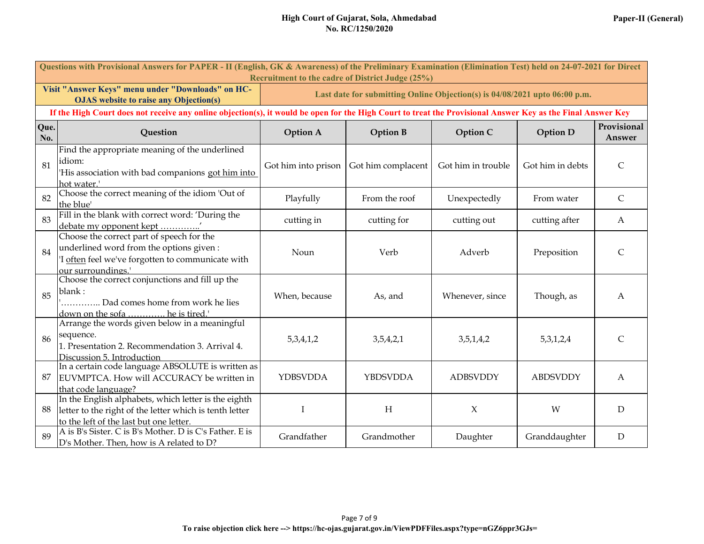|             | Questions with Provisional Answers for PAPER - II (English, GK & Awareness) of the Preliminary Examination (Elimination Test) held on 24-07-2021 for Direct<br>Recruitment to the cadre of District Judge (25%) |                     |                                                                            |                    |                  |                       |
|-------------|-----------------------------------------------------------------------------------------------------------------------------------------------------------------------------------------------------------------|---------------------|----------------------------------------------------------------------------|--------------------|------------------|-----------------------|
|             | Visit "Answer Keys" menu under "Downloads" on HC-<br><b>OJAS</b> website to raise any Objection(s)                                                                                                              |                     | Last date for submitting Online Objection(s) is 04/08/2021 upto 06:00 p.m. |                    |                  |                       |
|             | If the High Court does not receive any online objection(s), it would be open for the High Court to treat the Provisional Answer Key as the Final Answer Key                                                     |                     |                                                                            |                    |                  |                       |
| Que.<br>No. | Question                                                                                                                                                                                                        | <b>Option A</b>     | <b>Option B</b>                                                            | Option C           | <b>Option D</b>  | Provisional<br>Answer |
| 81          | Find the appropriate meaning of the underlined<br>idiom:<br>'His association with bad companions got him into<br>hot water.'                                                                                    | Got him into prison | Got him complacent                                                         | Got him in trouble | Got him in debts | $\mathsf{C}$          |
| 82          | Choose the correct meaning of the idiom 'Out of<br>the blue'                                                                                                                                                    | Playfully           | From the roof                                                              | Unexpectedly       | From water       | $\mathsf{C}$          |
| 83          | Fill in the blank with correct word: 'During the<br>debate my opponent kept                                                                                                                                     | cutting in          | cutting for                                                                | cutting out        | cutting after    | A                     |
| 84          | Choose the correct part of speech for the<br>underlined word from the options given:<br>I often feel we've forgotten to communicate with<br>our surroundings.'                                                  | Noun                | Verb                                                                       | Adverb             | Preposition      | $\mathsf{C}$          |
| 85          | Choose the correct conjunctions and fill up the<br>blank:<br>Dad comes home from work he lies<br>he is tired.'<br>down on the sofa                                                                              | When, because       | As, and                                                                    | Whenever, since    | Though, as       | A                     |
| 86          | Arrange the words given below in a meaningful<br>sequence.<br>1. Presentation 2. Recommendation 3. Arrival 4.<br>Discussion 5. Introduction                                                                     | 5,3,4,1,2           | 3,5,4,2,1                                                                  | 3,5,1,4,2          | 5,3,1,2,4        | $\mathsf{C}$          |
| 87          | In a certain code language ABSOLUTE is written as<br>EUVMPTCA. How will ACCURACY be written in<br>that code language?                                                                                           | YDBSVDDA            | YBDSVDDA                                                                   | <b>ADBSVDDY</b>    | <b>ABDSVDDY</b>  | $\mathbf{A}$          |
| 88          | In the English alphabets, which letter is the eighth<br>letter to the right of the letter which is tenth letter<br>to the left of the last but one letter.                                                      | I                   | H                                                                          | $\chi$             | W                | D                     |
| 89          | A is B's Sister. C is B's Mother. D is C's Father. E is<br>D's Mother. Then, how is A related to D?                                                                                                             | Grandfather         | Grandmother                                                                | Daughter           | Granddaughter    | D                     |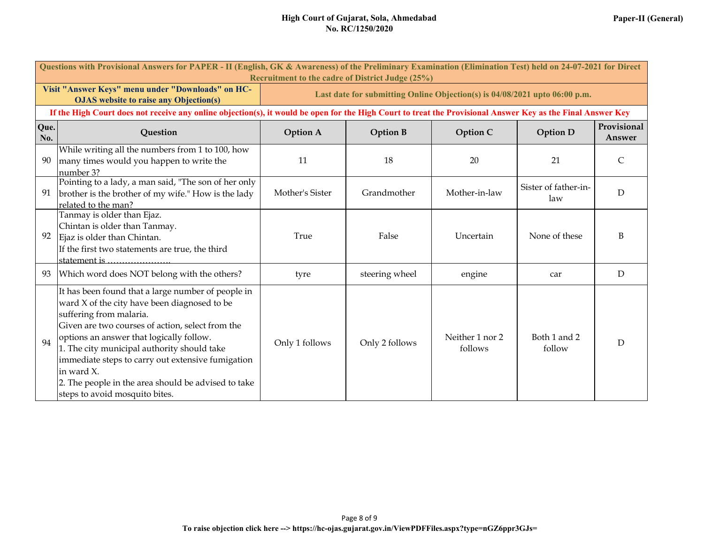| Questions with Provisional Answers for PAPER - II (English, GK & Awareness) of the Preliminary Examination (Elimination Test) held on 24-07-2021 for Direct<br>Recruitment to the cadre of District Judge (25%) |                                                                                                                                                                                                                                                                                                                                                                                                                                          |                                                                            |                 |                            |                             |                       |  |  |  |  |
|-----------------------------------------------------------------------------------------------------------------------------------------------------------------------------------------------------------------|------------------------------------------------------------------------------------------------------------------------------------------------------------------------------------------------------------------------------------------------------------------------------------------------------------------------------------------------------------------------------------------------------------------------------------------|----------------------------------------------------------------------------|-----------------|----------------------------|-----------------------------|-----------------------|--|--|--|--|
|                                                                                                                                                                                                                 | Visit "Answer Keys" menu under "Downloads" on HC-<br><b>OJAS</b> website to raise any Objection(s)                                                                                                                                                                                                                                                                                                                                       | Last date for submitting Online Objection(s) is 04/08/2021 upto 06:00 p.m. |                 |                            |                             |                       |  |  |  |  |
| If the High Court does not receive any online objection(s), it would be open for the High Court to treat the Provisional Answer Key as the Final Answer Key                                                     |                                                                                                                                                                                                                                                                                                                                                                                                                                          |                                                                            |                 |                            |                             |                       |  |  |  |  |
| Que.<br>No.                                                                                                                                                                                                     | Question                                                                                                                                                                                                                                                                                                                                                                                                                                 | <b>Option A</b>                                                            | <b>Option B</b> | Option C                   | <b>Option D</b>             | Provisional<br>Answer |  |  |  |  |
| 90                                                                                                                                                                                                              | While writing all the numbers from 1 to 100, how<br>many times would you happen to write the<br>number 3?                                                                                                                                                                                                                                                                                                                                | 11                                                                         | 18              | 20                         | 21                          | C                     |  |  |  |  |
| 91                                                                                                                                                                                                              | Pointing to a lady, a man said, "The son of her only<br>brother is the brother of my wife." How is the lady<br>related to the man?                                                                                                                                                                                                                                                                                                       | Mother's Sister                                                            | Grandmother     | Mother-in-law              | Sister of father-in-<br>law | D                     |  |  |  |  |
| 92                                                                                                                                                                                                              | Tanmay is older than Ejaz.<br>Chintan is older than Tanmay.<br>Ejaz is older than Chintan.<br>If the first two statements are true, the third<br>statement is                                                                                                                                                                                                                                                                            | True                                                                       | False           | Uncertain                  | None of these               | B                     |  |  |  |  |
| 93                                                                                                                                                                                                              | Which word does NOT belong with the others?                                                                                                                                                                                                                                                                                                                                                                                              | tyre                                                                       | steering wheel  | engine                     | car                         | D                     |  |  |  |  |
| 94                                                                                                                                                                                                              | It has been found that a large number of people in<br>ward X of the city have been diagnosed to be<br>suffering from malaria.<br>Given are two courses of action, select from the<br>options an answer that logically follow.<br>1. The city municipal authority should take<br>immediate steps to carry out extensive fumigation<br>in ward X.<br>2. The people in the area should be advised to take<br>steps to avoid mosquito bites. | Only 1 follows                                                             | Only 2 follows  | Neither 1 nor 2<br>follows | Both 1 and 2<br>follow      | D                     |  |  |  |  |